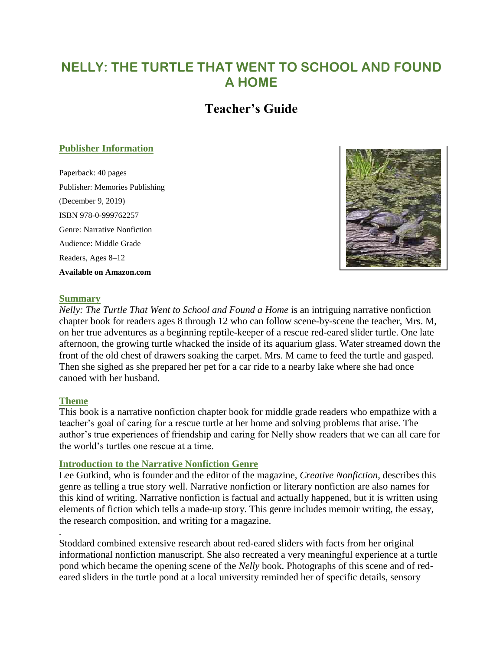# **NELLY: THE TURTLE THAT WENT TO SCHOOL AND FOUND A HOME**

# **Teacher's Guide**

#### **Publisher Information**

Paperback: 40 pages Publisher: Memories Publishing (December 9, 2019) ISBN 978-0-999762257 Genre: Narrative Nonfiction Audience: Middle Grade Readers, Ages 8–12 **Available on Amazon.com**



#### **Summary**

*Nelly: The Turtle That Went to School and Found a Home* is an intriguing narrative nonfiction chapter book for readers ages 8 through 12 who can follow scene-by-scene the teacher, Mrs. M, on her true adventures as a beginning reptile-keeper of a rescue red-eared slider turtle. One late afternoon, the growing turtle whacked the inside of its aquarium glass. Water streamed down the front of the old chest of drawers soaking the carpet. Mrs. M came to feed the turtle and gasped. Then she sighed as she prepared her pet for a car ride to a nearby lake where she had once canoed with her husband.

#### **Theme**

*.*

This book is a narrative nonfiction chapter book for middle grade readers who empathize with a teacher's goal of caring for a rescue turtle at her home and solving problems that arise. The author's true experiences of friendship and caring for Nelly show readers that we can all care for the world's turtles one rescue at a time.

#### **Introduction to the Narrative Nonfiction Genre**

Lee Gutkind, who is founder and the editor of the magazine, *Creative Nonfiction*, describes this genre as telling a true story well. Narrative nonfiction or literary nonfiction are also names for this kind of writing. Narrative nonfiction is factual and actually happened, but it is written using elements of fiction which tells a made-up story. This genre includes memoir writing, the essay, the research composition, and writing for a magazine.

Stoddard combined extensive research about red-eared sliders with facts from her original informational nonfiction manuscript. She also recreated a very meaningful experience at a turtle pond which became the opening scene of the *Nelly* book. Photographs of this scene and of redeared sliders in the turtle pond at a local university reminded her of specific details, sensory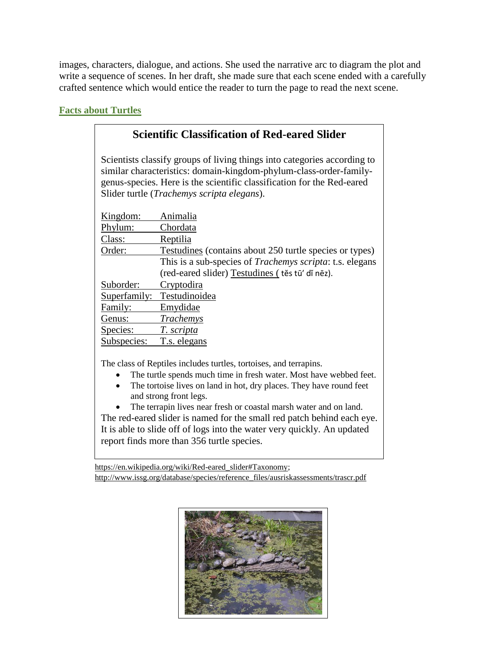images, characters, dialogue, and actions. She used the narrative arc to diagram the plot and write a sequence of scenes. In her draft, she made sure that each scene ended with a carefully crafted sentence which would entice the reader to turn the page to read the next scene.

### **Facts about Turtles**

# **Scientific Classification of Red-eared Slider**

Scientists classify groups of living things into categories according to similar characteristics: domain-kingdom-phylum-class-order-familygenus-species. Here is the scientific classification for the Red-eared Slider turtle (*Trachemys scripta elegans*).

| Kingdom:     | Animalia                                                         |
|--------------|------------------------------------------------------------------|
| Phylum:      | Chordata                                                         |
| Class:       | Reptilia                                                         |
| Order:       | Testudines (contains about 250 turtle species or types)          |
|              | This is a sub-species of <i>Trachemys scripta</i> : t.s. elegans |
|              | (red-eared slider) Testudines (tes tū' di nēz).                  |
| Suborder:    | Cryptodira                                                       |
| Superfamily: | Testudinoidea                                                    |
| Family:      | Emydidae                                                         |
| Genus:       | Trachemys                                                        |
| Species:     | T. scripta                                                       |
| Subspecies:  | T.s. elegans                                                     |
|              |                                                                  |

The class of Reptiles includes turtles, tortoises, and terrapins.

- The turtle spends much time in fresh water. Most have webbed feet.
- The tortoise lives on land in hot, dry places. They have round feet and strong front legs.
- The terrapin lives near fresh or coastal marsh water and on land. The red-eared slider is named for the small red patch behind each eye.

It is able to slide off of logs into the water very quickly. An updated report finds more than 356 turtle species.

[https://en.wikipedia.org/wiki/Red-eared\\_slider#Taxonomy;](https://en.wikipedia.org/wiki/Red-eared_slider#Taxonomy) [http://www.issg.org/database/species/reference\\_files/ausriskassessments/trascr.pdf](http://www.issg.org/database/species/reference_files/ausriskassessments/trascr.pdf)

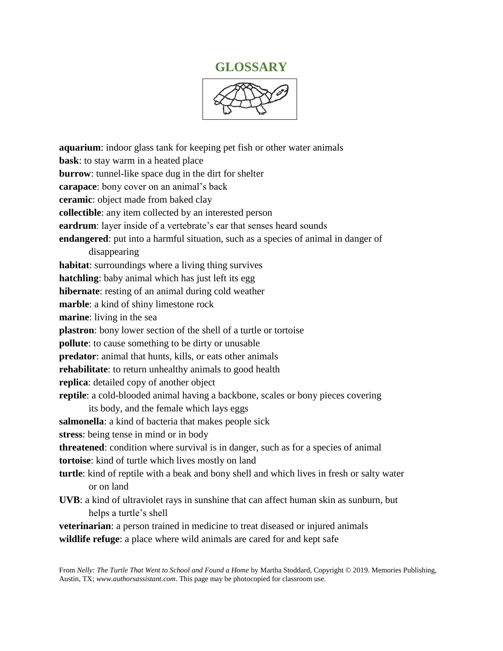## **GLOSSARY**



**aquarium**: indoor glass tank for keeping pet fish or other water animals **bask**: to stay warm in a heated place **burrow**: tunnel-like space dug in the dirt for shelter **carapace**: bony cover on an animal's back **ceramic**: object made from baked clay **collectible**: any item collected by an interested person **eardrum**: layer inside of a vertebrate's ear that senses heard sounds **endangered**: put into a harmful situation, such as a species of animal in danger of disappearing **habitat**: surroundings where a living thing survives **hatchling**: baby animal which has just left its egg **hibernate**: resting of an animal during cold weather **marble**: a kind of shiny limestone rock **marine**: living in the sea **plastron**: bony lower section of the shell of a turtle or tortoise **pollute**: to cause something to be dirty or unusable **predator**: animal that hunts, kills, or eats other animals **rehabilitate**: to return unhealthy animals to good health **replica**: detailed copy of another object **reptile**: a cold-blooded animal having a backbone, scales or bony pieces covering its body, and the female which lays eggs **salmonella**: a kind of bacteria that makes people sick **stress**: being tense in mind or in body **threatened**: condition where survival is in danger, such as for a species of animal **tortoise**: kind of turtle which lives mostly on land **turtle**: kind of reptile with a beak and bony shell and which lives in fresh or salty water or on land **UVB**: a kind of ultraviolet rays in sunshine that can affect human skin as sunburn, but helps a turtle's shell **veterinarian**: a person trained in medicine to treat diseased or injured animals **wildlife refuge**: a place where wild animals are cared for and kept safe

From *Nelly: The Turtle That Went to School and Found a Home* by Martha Stoddard, Copyright © 2019. Memories Publishing, Austin, TX; *[www.authorsassistant.com](http://www.authorsassistant.com/)*. This page may be photocopied for classroom use.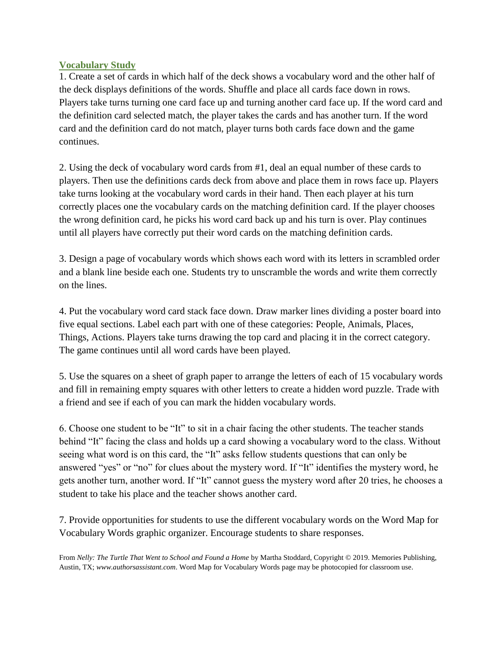#### **Vocabulary Study**

1. Create a set of cards in which half of the deck shows a vocabulary word and the other half of the deck displays definitions of the words. Shuffle and place all cards face down in rows. Players take turns turning one card face up and turning another card face up. If the word card and the definition card selected match, the player takes the cards and has another turn. If the word card and the definition card do not match, player turns both cards face down and the game continues.

2. Using the deck of vocabulary word cards from #1, deal an equal number of these cards to players. Then use the definitions cards deck from above and place them in rows face up. Players take turns looking at the vocabulary word cards in their hand. Then each player at his turn correctly places one the vocabulary cards on the matching definition card. If the player chooses the wrong definition card, he picks his word card back up and his turn is over. Play continues until all players have correctly put their word cards on the matching definition cards.

3. Design a page of vocabulary words which shows each word with its letters in scrambled order and a blank line beside each one. Students try to unscramble the words and write them correctly on the lines.

4. Put the vocabulary word card stack face down. Draw marker lines dividing a poster board into five equal sections. Label each part with one of these categories: People, Animals, Places, Things, Actions. Players take turns drawing the top card and placing it in the correct category. The game continues until all word cards have been played.

5. Use the squares on a sheet of graph paper to arrange the letters of each of 15 vocabulary words and fill in remaining empty squares with other letters to create a hidden word puzzle. Trade with a friend and see if each of you can mark the hidden vocabulary words.

6. Choose one student to be "It" to sit in a chair facing the other students. The teacher stands behind "It" facing the class and holds up a card showing a vocabulary word to the class. Without seeing what word is on this card, the "It" asks fellow students questions that can only be answered "yes" or "no" for clues about the mystery word. If "It" identifies the mystery word, he gets another turn, another word. If "It" cannot guess the mystery word after 20 tries, he chooses a student to take his place and the teacher shows another card.

7. Provide opportunities for students to use the different vocabulary words on the Word Map for Vocabulary Words graphic organizer. Encourage students to share responses.

From *Nelly: The Turtle That Went to School and Found a Home* by Martha Stoddard, Copyright © 2019. Memories Publishing, Austin, TX; *[www.authorsassistant.com](http://www.authorsassistant.com/)*. Word Map for Vocabulary Words page may be photocopied for classroom use.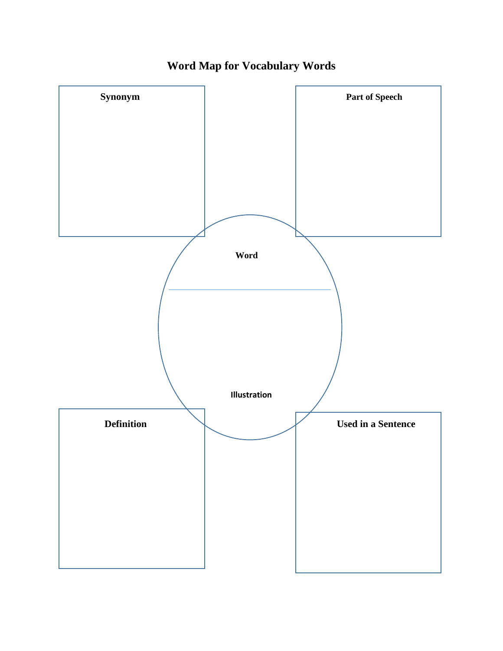

**Word Map for Vocabulary Words**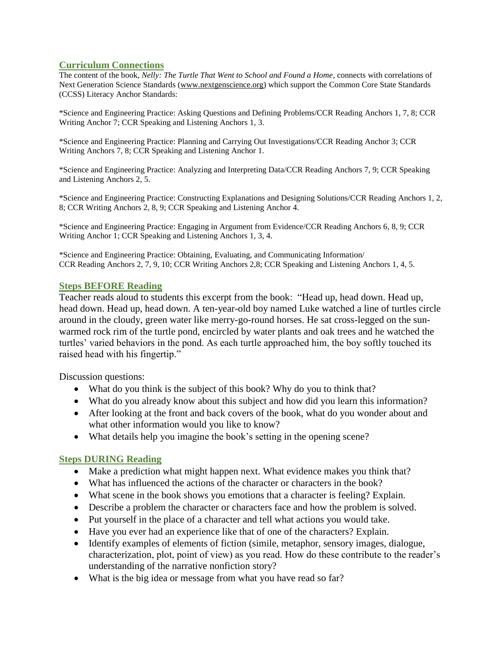#### **Curriculum Connections**

The content of the book, *Nelly: The Turtle That Went to School and Found a Home*, connects with correlations of Next Generation Science Standards [\(www.nextgenscience.org\)](http://www.nextgenscience.org/) which support the Common Core State Standards (CCSS) Literacy Anchor Standards:

\*Science and Engineering Practice: Asking Questions and Defining Problems/CCR Reading Anchors 1, 7, 8; CCR Writing Anchor 7; CCR Speaking and Listening Anchors 1, 3.

\*Science and Engineering Practice: Planning and Carrying Out Investigations/CCR Reading Anchor 3; CCR Writing Anchors 7, 8; CCR Speaking and Listening Anchor 1.

\*Science and Engineering Practice: Analyzing and Interpreting Data/CCR Reading Anchors 7, 9; CCR Speaking and Listening Anchors 2, 5.

\*Science and Engineering Practice: Constructing Explanations and Designing Solutions/CCR Reading Anchors 1, 2, 8; CCR Writing Anchors 2, 8, 9; CCR Speaking and Listening Anchor 4.

\*Science and Engineering Practice: Engaging in Argument from Evidence/CCR Reading Anchors 6, 8, 9; CCR Writing Anchor 1; CCR Speaking and Listening Anchors 1, 3, 4.

\*Science and Engineering Practice: Obtaining, Evaluating, and Communicating Information/ CCR Reading Anchors 2, 7, 9, 10; CCR Writing Anchors 2,8; CCR Speaking and Listening Anchors 1, 4, 5.

#### **Steps BEFORE Reading**

Teacher reads aloud to students this excerpt from the book: "Head up, head down. Head up, head down. Head up, head down. A ten-year-old boy named Luke watched a line of turtles circle around in the cloudy, green water like merry-go-round horses. He sat cross-legged on the sunwarmed rock rim of the turtle pond, encircled by water plants and oak trees and he watched the turtles' varied behaviors in the pond. As each turtle approached him, the boy softly touched its raised head with his fingertip."

Discussion questions:

- What do you think is the subject of this book? Why do you to think that?
- What do you already know about this subject and how did you learn this information?
- After looking at the front and back covers of the book, what do you wonder about and what other information would you like to know?
- What details help you imagine the book's setting in the opening scene?

### **Steps DURING Reading**

- Make a prediction what might happen next. What evidence makes you think that?
- What has influenced the actions of the character or characters in the book?
- What scene in the book shows you emotions that a character is feeling? Explain.
- Describe a problem the character or characters face and how the problem is solved.
- Put yourself in the place of a character and tell what actions you would take.
- Have you ever had an experience like that of one of the characters? Explain.
- Identify examples of elements of fiction (simile, metaphor, sensory images, dialogue, characterization, plot, point of view) as you read. How do these contribute to the reader's understanding of the narrative nonfiction story?
- What is the big idea or message from what you have read so far?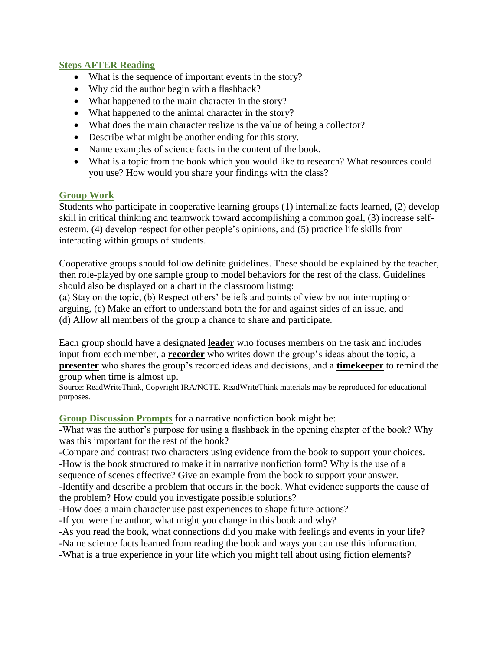#### **Steps AFTER Reading**

- What is the sequence of important events in the story?
- Why did the author begin with a flashback?
- What happened to the main character in the story?
- What happened to the animal character in the story?
- What does the main character realize is the value of being a collector?
- Describe what might be another ending for this story.
- Name examples of science facts in the content of the book.
- What is a topic from the book which you would like to research? What resources could you use? How would you share your findings with the class?

#### **Group Work**

Students who participate in cooperative learning groups (1) internalize facts learned, (2) develop skill in critical thinking and teamwork toward accomplishing a common goal, (3) increase selfesteem, (4) develop respect for other people's opinions, and (5) practice life skills from interacting within groups of students.

Cooperative groups should follow definite guidelines. These should be explained by the teacher, then role-played by one sample group to model behaviors for the rest of the class. Guidelines should also be displayed on a chart in the classroom listing:

(a) Stay on the topic, (b) Respect others' beliefs and points of view by not interrupting or arguing, (c) Make an effort to understand both the for and against sides of an issue, and (d) Allow all members of the group a chance to share and participate.

Each group should have a designated **leader** who focuses members on the task and includes input from each member, a **recorder** who writes down the group's ideas about the topic, a **presenter** who shares the group's recorded ideas and decisions, and a **timekeeper** to remind the group when time is almost up.

Source: ReadWriteThink, Copyright IRA/NCTE. ReadWriteThink materials may be reproduced for educational purposes.

#### **Group Discussion Prompts** for a narrative nonfiction book might be:

-What was the author's purpose for using a flashback in the opening chapter of the book? Why was this important for the rest of the book?

-Compare and contrast two characters using evidence from the book to support your choices. -How is the book structured to make it in narrative nonfiction form? Why is the use of a sequence of scenes effective? Give an example from the book to support your answer. -Identify and describe a problem that occurs in the book. What evidence supports the cause of

the problem? How could you investigate possible solutions?

-How does a main character use past experiences to shape future actions?

-If you were the author, what might you change in this book and why?

-As you read the book, what connections did you make with feelings and events in your life?

-Name science facts learned from reading the book and ways you can use this information.

-What is a true experience in your life which you might tell about using fiction elements?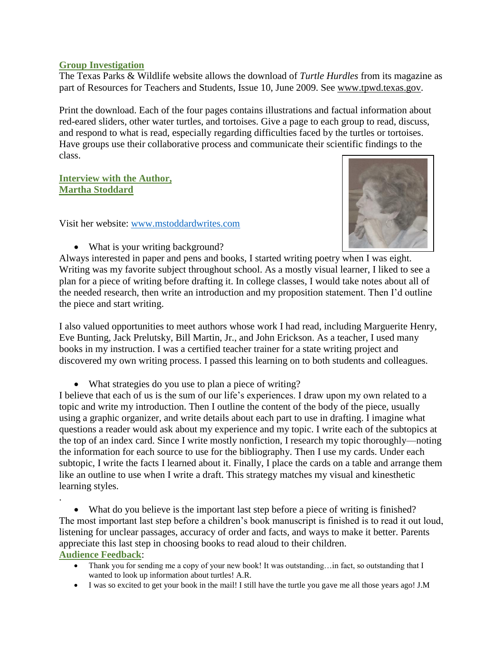#### **Group Investigation**

The Texas Parks & Wildlife website allows the download of *Turtle Hurdles* from its magazine as part of Resources for Teachers and Students, Issue 10, June 2009. See [www.tpwd.texas.gov.](http://www.tpwd.texas.gov/)

Print the download. Each of the four pages contains illustrations and factual information about red-eared sliders, other water turtles, and tortoises. Give a page to each group to read, discuss, and respond to what is read, especially regarding difficulties faced by the turtles or tortoises. Have groups use their collaborative process and communicate their scientific findings to the class.

**Interview with the Author, Martha Stoddard**

.

Visit her website: [www.mstoddardwrites.com](http://www.mstoddardwrites.com/)



• What is your writing background?

Always interested in paper and pens and books, I started writing poetry when I was eight. Writing was my favorite subject throughout school. As a mostly visual learner, I liked to see a plan for a piece of writing before drafting it. In college classes, I would take notes about all of the needed research, then write an introduction and my proposition statement. Then I'd outline the piece and start writing.

I also valued opportunities to meet authors whose work I had read, including Marguerite Henry, Eve Bunting, Jack Prelutsky, Bill Martin, Jr., and John Erickson. As a teacher, I used many books in my instruction. I was a certified teacher trainer for a state writing project and discovered my own writing process. I passed this learning on to both students and colleagues.

• What strategies do you use to plan a piece of writing?

I believe that each of us is the sum of our life's experiences. I draw upon my own related to a topic and write my introduction. Then I outline the content of the body of the piece, usually using a graphic organizer, and write details about each part to use in drafting. I imagine what questions a reader would ask about my experience and my topic. I write each of the subtopics at the top of an index card. Since I write mostly nonfiction, I research my topic thoroughly—noting the information for each source to use for the bibliography. Then I use my cards. Under each subtopic, I write the facts I learned about it. Finally, I place the cards on a table and arrange them like an outline to use when I write a draft. This strategy matches my visual and kinesthetic learning styles.

 What do you believe is the important last step before a piece of writing is finished? The most important last step before a children's book manuscript is finished is to read it out loud, listening for unclear passages, accuracy of order and facts, and ways to make it better. Parents appreciate this last step in choosing books to read aloud to their children. **Audience Feedback**:

- Thank you for sending me a copy of your new book! It was outstanding…in fact, so outstanding that I wanted to look up information about turtles! A.R.
- I was so excited to get your book in the mail! I still have the turtle you gave me all those years ago! J.M